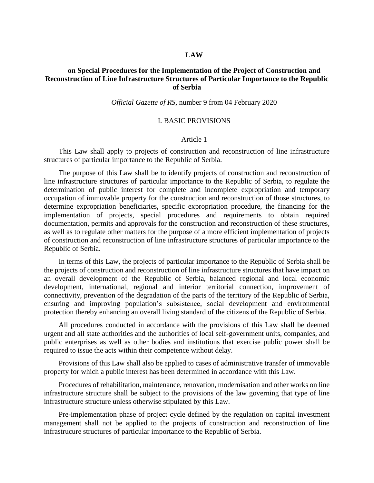### **LAW**

## **on Special Procedures for the Implementation of the Project of Construction and Reconstruction of Line Infrastructure Structures of Particular Importance to the Republic of Serbia**

#### *Official Gazette of RS,* number 9 from 04 February 2020

### I. BASIC PROVISIONS

#### Article 1

This Law shall apply to projects of construction and reconstruction of line infrastructure structures of particular importance to the Republic of Serbia.

The purpose of this Law shall be to identify projects of construction and reconstruction of line infrastructure structures of particular importance to the Republic of Serbia, to regulate the determination of public interest for complete and incomplete expropriation and temporary occupation of immovable property for the construction and reconstruction of those structures, to determine expropriation beneficiaries, specific expropriation procedure, the financing for the implementation of projects, special procedures and requirements to obtain required documentation, permits and approvals for the construction and reconstruction of these structures, as well as to regulate other matters for the purpose of a more efficient implementation of projects of construction and reconstruction of line infrastructure structures of particular importance to the Republic of Serbia.

In terms of this Law, the projects of particular importance to the Republic of Serbia shall be the projects of construction and reconstruction of line infrastructure structures that have impact on an overall development of the Republic of Serbia, balanced regional and local economic development, international, regional and interior territorial connection, improvement of connectivity, prevention of the degradation of the parts of the territory of the Republic of Serbia, ensuring and improving population's subsistence, social development and environmental protection thereby enhancing an overall living standard of the citizens of the Republic of Serbia.

All procedures conducted in accordance with the provisions of this Law shall be deemed urgent and all state authorities and the authorities of local self-government units, companies, and public enterprises as well as other bodies and institutions that exercise public power shall be required to issue the acts within their competence without delay.

Provisions of this Law shall also be applied to cases of administrative transfer of immovable property for which a public interest has been determined in accordance with this Law.

Procedures of rehabilitation, maintenance, renovation, modernisation and other works on line infrastructure structure shall be subject to the provisions of the law governing that type of line infrastructure structure unless otherwise stipulated by this Law.

Pre-implementation phase of project cycle defined by the regulation on capital investment management shall not be applied to the projects of construction and reconstruction of line infrastrucure structures of particular importance to the Republic of Serbia.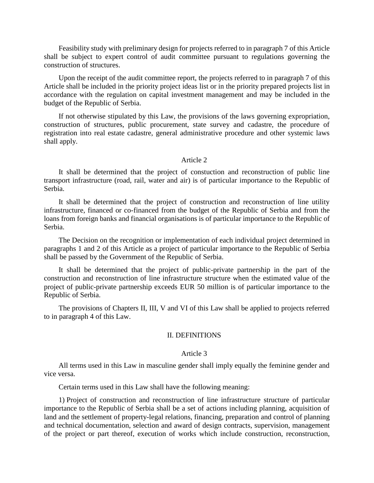Feasibility study with preliminary design for projects referred to in paragraph 7 of this Article shall be subject to expert control of audit committee pursuant to regulations governing the construction of structures.

Upon the receipt of the audit committee report, the projects referred to in paragraph 7 of this Article shall be included in the priority project ideas list or in the priority prepared projects list in accordance with the regulation on capital investment management and may be included in the budget of the Republic of Serbia.

If not otherwise stipulated by this Law, the provisions of the laws governing expropriation, construction of structures, public procurement, state survey and cadastre, the procedure of registration into real estate cadastre, general administrative procedure and other systemic laws shall apply.

#### Article 2

It shall be determined that the project of constuction and reconstruction of public line transport infrastructure (road, rail, water and air) is of particular importance to the Republic of Serbia.

It shall be determined that the project of construction and reconstruction of line utility infrastructure, financed or co-financed from the budget of the Republic of Serbia and from the loans from foreign banks and financial organisations is of particular importance to the Republic of Serbia.

The Decision on the recognition or implementation of each individual project determined in paragraphs 1 and 2 of this Article as a project of particular importance to the Republic of Serbia shall be passed by the Government of the Republic of Serbia.

It shall be determined that the project of public-private partnership in the part of the construction and reconstruction of line infrastructure structure when the estimated value of the project of public-private partnership exceeds EUR 50 million is of particular importance to the Republic of Serbia.

The provisions of Chapters II, III, V and VI of this Law shall be applied to projects referred to in paragraph 4 of this Law.

### II. DEFINITIONS

### Article 3

All terms used in this Law in masculine gender shall imply equally the feminine gender and vice versa.

Certain terms used in this Law shall have the following meaning:

1) Project of construction and reconstruction of line infrastructure structure of particular importance to the Republic of Serbia shall be a set of actions including planning, acquisition of land and the settlement of property-legal relations, financing, preparation and control of planning and technical documentation, selection and award of design contracts, supervision, management of the project or part thereof, execution of works which include construction, reconstruction,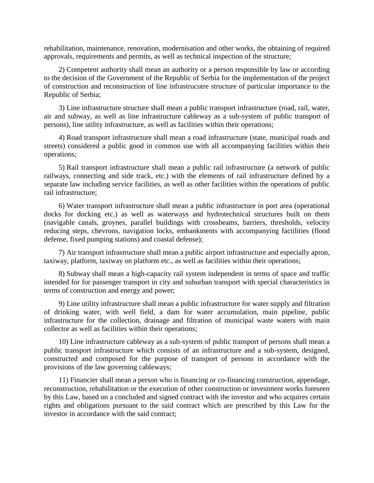rehabilitation, maintenance, renovation, modernisation and other works, the obtaining of required approvals, requirements and permits, as well as technical inspection of the structure;

2) Competent authority shall mean an authority or a person responsible by law or according to the decision of the Government of the Republic of Serbia for the implementation of the project of construction and reconstruction of line infrastrucutre structure of particular importance to the Republic of Serbia;

3) Line infrastructure structure shall mean a public transport infrastructure (road, rail, water, air and subway, as well as line infrastructure cableway as a sub-system of public transport of persons), line utility infrastructure, as well as facilities within their operations;

4) Road transport infrastructure shall mean a road infrastructure (state, municipal roads and streets) considered a public good in common use with all accompanying facilities within their operations;

5) Rail transport infrastructure shall mean a public rail infrastructure (a network of public railways, connecting and side track, etc.) with the elements of rail infrastructure defined by a separate law including service facilities, as well as other facilities within the operations of public rail infrastructure;

6) Water transport infrastructure shall mean a public infrastructure in port area (operational docks for docking etc.) as well as waterways and hydrotechnical structures built on them (navigable canals, groynes, parallel buildings with crossbeams, barriers, thresholds, velocity reducing steps, chevrons, navigation locks, embankments with accompanying factilities (flood defense, fixed pumping stations) and coastal defense);

7) Air transport infrastructure shall mean a public airport infrastructure and especially apron, taxiway, platform, taxiway on platform etc., as well as facilities within their operations;

8) Subway shall mean a high-capacity rail system independent in terms of space and traffic intended for for passenger transport in city and suburban transport with special characteristics in terms of construction and energy and power;

9) Line utility infrastructure shall mean a public infrastructure for water supply and filtration of drinking water, with well field, a dam for water accumulation, main pipeline, public infrastructure for the collection, drainage and filtration of municipal waste waters with main collector as well as facilities within their operations;

10) Line infrastructure cableway as a sub-system of public transport of persons shall mean a public transport infrastructure which consists of an infrastructure and a sub-system, designed, constructed and composed for the purpose of transport of persons in accordance with the provisions of the law governing cableways;

11) Financier shall mean a person who is financing or co-financing construction, appendage, reconstruction, rehabilitation or the execution of other construction or investment works foreseen by this Law, based on a concluded and signed contract with the investor and who acquires certain rights and obligations pursuant to the said contract which are prescribed by this Law for the investor in accordance with the said contract;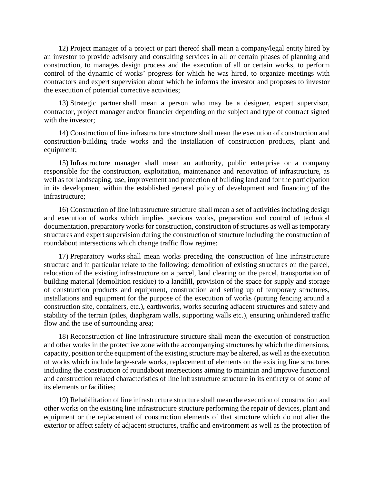12) Project manager of a project or part thereof shall mean a company/legal entity hired by an investor to provide advisory and consulting services in all or certain phases of planning and construction, to manages design process and the execution of all or certain works, to perform control of the dynamic of works' progress for which he was hired, to organize meetings with contractors and expert supervision about which he informs the investor and proposes to investor the execution of potential corrective activities;

13) Strategic partner shall mean a person who may be a designer, expert supervisor, contractor, project manager and/or financier depending on the subject and type of contract signed with the investor;

14) Construction of line infrastructure structure shall mean the execution of construction and construction-building trade works and the installation of construction products, plant and equipment;

15) Infrastructure manager shall mean an authority, public enterprise or a company responsible for the construction, exploitation, maintenance and renovation of infrastructure, as well as for landscaping, use, improvement and protection of building land and for the participation in its development within the established general policy of development and financing of the infrastructure;

16) Construction of line infrastructure structure shall mean a set of activities including design and execution of works which implies previous works, preparation and control of technical documentation, preparatory works for construction, construciton of structures as well as temporary structures and expert supervision during the construction of structure including the construction of roundabout intersections which change traffic flow regime;

17) Preparatory works shall mean works preceding the construction of line infrastructure structure and in particular relate to the following: demolition of existing structures on the parcel, relocation of the existing infrastructure on a parcel, land clearing on the parcel, transportation of building material (demolition residue) to a landfill, provision of the space for supply and storage of construction products and equipment, construction and setting up of temporary structures, installations and equipment for the purpose of the execution of works (putting fencing around a construction site, containers, etc.), earthworks, works securing adjacent structures and safety and stability of the terrain (piles, diaphgram walls, supporting walls etc.), ensuring unhindered traffic flow and the use of surrounding area;

18) Reconstruction of line infrastructure structure shall mean the execution of construction and other works in the protective zone with the accompanying structures by which the dimensions, capacity, position or the equipment of the existing structure may be altered, as well as the execution of works which include large-scale works, replacement of elements on the existing line structures including the construction of roundabout intersections aiming to maintain and improve functional and construction related characteristics of line infrastructure structure in its entirety or of some of its elements or facilities;

19) Rehabilitation of line infrastructure structure shall mean the execution of construction and other works on the existing line infrastructure structure performing the repair of devices, plant and equipment or the replacement of construction elements of that structure which do not alter the exterior or affect safety of adjacent structures, traffic and environment as well as the protection of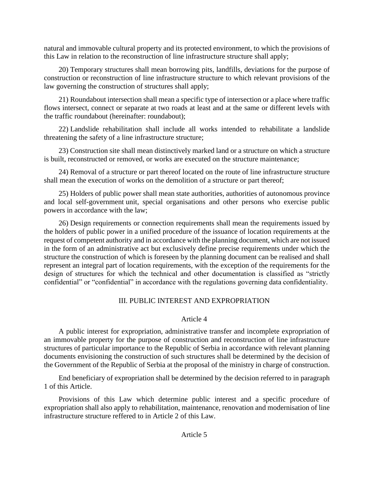natural and immovable cultural property and its protected environment, to which the provisions of this Law in relation to the reconstruction of line infrastructure structure shall apply;

20) Temporary structures shall mean borrowing pits, landfills, deviations for the purpose of construction or reconstruction of line infrastructure structure to which relevant provisions of the law governing the construction of structures shall apply;

21) Roundabout intersection shall mean a specific type of intersection or a place where traffic flows intersect, connect or separate at two roads at least and at the same or different levels with the traffic roundabout (hereinafter: roundabout);

22) Landslide rehabilitation shall include all works intended to rehabilitate a landslide threatening the safety of a line infrastructure structure;

23) Construction site shall mean distinctively marked land or a structure on which a structure is built, reconstructed or removed, or works are executed on the structure maintenance;

24) Removal of a structure or part thereof located on the route of line infrastructure structure shall mean the execution of works on the demolition of a structure or part thereof;

25) Holders of public power shall mean state authorities, authorities of autonomous province and local self-government unit, special organisations and other persons who exercise public powers in accordance with the law;

26) Design requirements or connection requirements shall mean the requirements issued by the holders of public power in a unified procedure of the issuance of location requirements at the request of competent authority and in accordance with the planning document, which are not issued in the form of an administrative act but exclusively define precise requirements under which the structure the construction of which is foreseen by the planning document can be realised and shall represent an integral part of location requirements, with the exception of the requirements for the design of structures for which the technical and other documentation is classified as "strictly confidential" or "confidential" in accordance with the regulations governing data confidentiality.

# III. PUBLIC INTEREST AND EXPROPRIATION

# Article 4

A public interest for expropriation, administrative transfer and incomplete expropriation of an immovable property for the purpose of construction and reconstruction of line infrastructure structures of particular importance to the Republic of Serbia in accordance with relevant planning documents envisioning the construction of such structures shall be determined by the decision of the Government of the Republic of Serbia at the proposal of the ministry in charge of construction.

End beneficiary of expropriation shall be determined by the decision referred to in paragraph 1 of this Article.

Provisions of this Law which determine public interest and a specific procedure of expropriation shall also apply to rehabilitation, maintenance, renovation and modernisation of line infrastructure structure reffered to in Article 2 of this Law.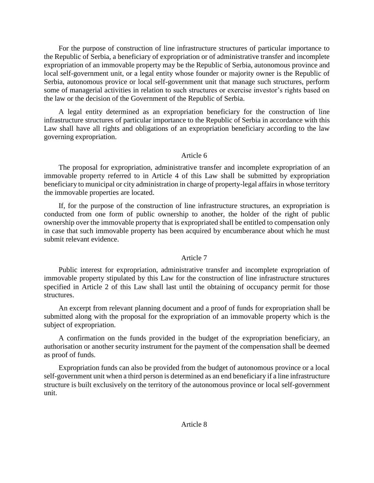For the purpose of construction of line infrastructure structures of particular importance to the Republic of Serbia, a beneficiary of expropriation or of administrative transfer and incomplete expropriation of an immovable property may be the Republic of Serbia, autonomous province and local self-government unit, or a legal entity whose founder or majority owner is the Republic of Serbia, autonomous provice or local self-government unit that manage such structures, perform some of managerial activities in relation to such structures or exercise investor's rights based on the law or the decision of the Government of the Republic of Serbia.

A legal entity determined as an expropriation beneficiary for the construction of line infrastructure structures of particular importance to the Republic of Serbia in accordance with this Law shall have all rights and obligations of an expropriation beneficiary according to the law governing expropriation.

### Article 6

The proposal for expropriation, administrative transfer and incomplete expropriation of an immovable property referred to in Article 4 of this Law shall be submitted by expropriation beneficiary to municipal or city administration in charge of property-legal affairs in whose territory the immovable properties are located.

If, for the purpose of the construction of line infrastructure structures, an expropriation is conducted from one form of public ownership to another, the holder of the right of public ownership over the immovable property that is expropriated shall be entitled to compensation only in case that such immovable property has been acquired by encumberance about which he must submit relevant evidence.

## Article 7

Public interest for expropriation, administrative transfer and incomplete expropriation of immovable property stipulated by this Law for the construction of line infrastructure structures specified in Article 2 of this Law shall last until the obtaining of occupancy permit for those structures.

An excerpt from relevant planning document and a proof of funds for expropriation shall be submitted along with the proposal for the expropriation of an immovable property which is the subject of expropriation.

A confirmation on the funds provided in the budget of the expropriation beneficiary, an authorisation or another security instrument for the payment of the compensation shall be deemed as proof of funds.

Expropriation funds can also be provided from the budget of autonomous province or a local self-government unit when a third person is determined as an end beneficiary if a line infrastructure structure is built exclusively on the territory of the autonomous province or local self-government unit.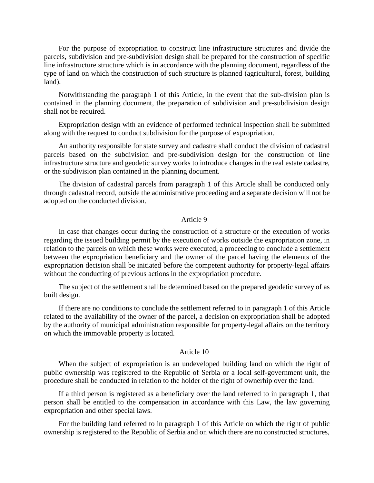For the purpose of expropriation to construct line infrastructure structures and divide the parcels, subdivision and pre-subdivision design shall be prepared for the construction of specific line infrastructure structure which is in accordance with the planning document, regardless of the type of land on which the construction of such structure is planned (agricultural, forest, building land).

Notwithstanding the paragraph 1 of this Article, in the event that the sub-division plan is contained in the planning document, the preparation of subdivision and pre-subdivision design shall not be required.

Expropriation design with an evidence of performed technical inspection shall be submitted along with the request to conduct subdivision for the purpose of expropriation.

An authority responsible for state survey and cadastre shall conduct the division of cadastral parcels based on the subdivision and pre-subdivision design for the construction of line infrastructure structure and geodetic survey works to introduce changes in the real estate cadastre, or the subdivision plan contained in the planning document.

The division of cadastral parcels from paragraph 1 of this Article shall be conducted only through cadastral record, outside the administrative proceeding and a separate decision will not be adopted on the conducted division.

## Article 9

In case that changes occur during the construction of a structure or the execution of works regarding the issued building permit by the execution of works outside the expropriation zone, in relation to the parcels on which these works were executed, a proceeding to conclude a settlement between the expropriation beneficiary and the owner of the parcel having the elements of the expropriation decision shall be initiated before the competent authority for property-legal affairs without the conducting of previous actions in the expropriation procedure.

The subject of the settlement shall be determined based on the prepared geodetic survey of as built design.

If there are no conditions to conclude the settlement referred to in paragraph 1 of this Article related to the availability of the owner of the parcel, a decision on expropriation shall be adopted by the authority of municipal administration responsible for property-legal affairs on the territory on which the immovable property is located.

## Article 10

When the subject of expropriation is an undeveloped building land on which the right of public ownership was registered to the Republic of Serbia or a local self-government unit, the procedure shall be conducted in relation to the holder of the right of ownerhip over the land.

If a third person is registered as a beneficiary over the land referred to in paragraph 1, that person shall be entitled to the compensation in accordance with this Law, the law governing expropriation and other special laws.

For the building land referred to in paragraph 1 of this Article on which the right of public ownership is registered to the Republic of Serbia and on which there are no constructed structures,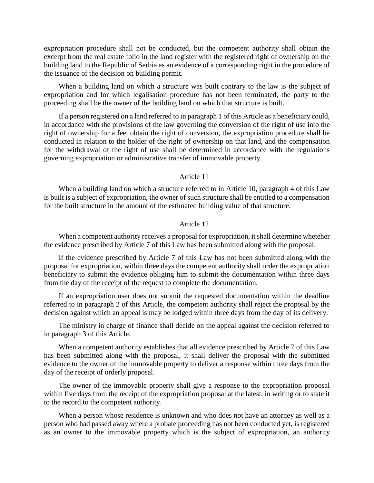expropriation procedure shall not be conducted, but the competent authority shall obtain the excerpt from the real estate folio in the land register with the registered right of ownership on the building land to the Republic of Serbia as an evidence of a corresponding right in the procedure of the issuance of the decision on building permit.

When a building land on which a structure was built contrary to the law is the subject of expropriation and for which legalisation procedure has not been terminated, the party to the proceeding shall be the owner of the building land on which that structure is built.

If a person registered on a land referred to in paragraph 1 of this Article as a beneficiary could, in accordance with the provisions of the law governing the conversion of the right of use into the right of ownership for a fee, obtain the right of conversion, the expropriation procedure shall be conducted in relation to the holder of the right of ownership on that land, and the compensation for the withdrawal of the right of use shall be determined in accordance with the regulations governing expropriation or administrative transfer of immovable property.

#### Article 11

When a building land on which a structure referred to in Article 10, paragraph 4 of this Law is built is a subject of expropriation, the owner of such structure shall be entitled to a compensation for the built structure in the amount of the estimated building value of that structure.

#### Article 12

When a competent authority receives a proposal for expropriation, it shall determine wheteher the evidence prescribed by Article 7 of this Law has been submitted along with the proposal.

If the evidence prescribed by Article 7 of this Law has not been submitted along with the proposal for expropriation, within three days the competent authority shall order the expropriation beneficiary to submit the evidence obliging him to submit the documentation within three days from the day of the receipt of the request to complete the documentation.

If an expropriation user does not submit the requested documentation within the deadline referred to in paragraph 2 of this Article, the competent authority shall reject the proposal by the decision against which an appeal is may be lodged within three days from the day of its delivery.

The ministry in charge of finance shall decide on the appeal against the decision referred to in paragraph 3 of this Article.

When a competent authority establishes that all evidence prescribed by Article 7 of this Law has been submitted along with the proposal, it shall deliver the proposal with the submitted evidence to the owner of the immovable property to deliver a response within three days from the day of the receipt of orderly proposal.

The owner of the immovable property shall give a response to the expropriation proposal within five days from the receipt of the expropriation proposal at the latest, in writing or to state it to the record to the competent authority.

When a person whose residence is unknown and who does not have an attorney as well as a person who had passed away where a probate proceeding has not been conducted yet, is registered as an owner to the immovable property which is the subject of expropriation, an authority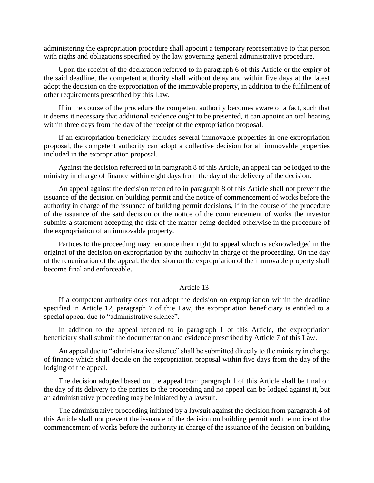administering the expropriation procedure shall appoint a temporary representative to that person with rigths and obligations specified by the law governing general administrative procedure.

Upon the receipt of the declaration referred to in paragraph 6 of this Article or the expiry of the said deadline, the competent authority shall without delay and within five days at the latest adopt the decision on the expropriation of the immovable property, in addition to the fulfilment of other requirements prescribed by this Law.

If in the course of the procedure the competent authority becomes aware of a fact, such that it deems it necessary that additional evidence ought to be presented, it can appoint an oral hearing within three days from the day of the receipt of the expropriation proposal.

If an expropriation beneficiary includes several immovable properties in one expropriation proposal, the competent authority can adopt a collective decision for all immovable properties included in the expropriation proposal.

Against the decision referreed to in paragraph 8 of this Article, an appeal can be lodged to the ministry in charge of finance within eight days from the day of the delivery of the decision.

An appeal against the decision referred to in paragraph 8 of this Article shall not prevent the issuance of the decision on building permit and the notice of commencement of works before the authority in charge of the issuance of building permit decisions, if in the course of the procedure of the issuance of the said decision or the notice of the commencement of works the investor submits a statement accepting the risk of the matter being decided otherwise in the procedure of the expropriation of an immovable property.

Partices to the proceeding may renounce their right to appeal which is acknowledged in the original of the decision on expropriation by the authority in charge of the proceeding. On the day of the renunication of the appeal, the decision on the expropriation of the immovable property shall become final and enforceable.

#### Article 13

If a competent authority does not adopt the decision on expropriation within the deadline specified in Article 12, paragraph 7 of thie Law, the expropriation beneficiary is entitled to a special appeal due to "administrative silence".

In addition to the appeal referred to in paragraph 1 of this Article, the expropriation beneficiary shall submit the documentation and evidence prescribed by Article 7 of this Law.

An appeal due to "administrative silence" shall be submitted directly to the ministry in charge of finance which shall decide on the expropriation proposal within five days from the day of the lodging of the appeal.

The decision adopted based on the appeal from paragraph 1 of this Article shall be final on the day of its delivery to the parties to the proceeding and no appeal can be lodged against it, but an administrative proceeding may be initiated by a lawsuit.

The administrative proceeding initiated by a lawsuit against the decision from paragraph 4 of this Article shall not prevent the issuance of the decision on building permit and the notice of the commencement of works before the authority in charge of the issuance of the decision on building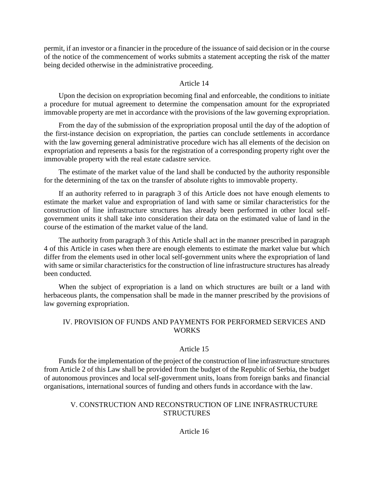permit, if an investor or a financier in the procedure of the issuance of said decision or in the course of the notice of the commencement of works submits a statement accepting the risk of the matter being decided otherwise in the administrative proceeding.

## Article 14

Upon the decision on expropriation becoming final and enforceable, the conditions to initiate a procedure for mutual agreement to determine the compensation amount for the expropriated immovable property are met in accordance with the provisions of the law governing expropriation.

From the day of the submission of the expropriation proposal until the day of the adoption of the first-instance decision on expropriation, the parties can conclude settlements in accordance with the law governing general administrative procedure wich has all elements of the decision on expropriation and represents a basis for the registration of a corresponding property right over the immovable property with the real estate cadastre service.

The estimate of the market value of the land shall be conducted by the authority responsible for the determining of the tax on the transfer of absolute rights to immovable property.

If an authority referred to in paragraph 3 of this Article does not have enough elements to estimate the market value and expropriation of land with same or similar characteristics for the construction of line infrastructure structures has already been performed in other local selfgovernment units it shall take into consideration their data on the estimated value of land in the course of the estimation of the market value of the land.

The authority from paragraph 3 of this Article shall act in the manner prescribed in paragraph 4 of this Article in cases when there are enough elements to estimate the market value but which differ from the elements used in other local self-government units where the expropriation of land with same or similar characteristics for the construction of line infrastructure structures has already been conducted.

When the subject of expropriation is a land on which structures are built or a land with herbaceous plants, the compensation shall be made in the manner prescribed by the provisions of law governing expropriation.

# IV. PROVISION OF FUNDS AND PAYMENTS FOR PERFORMED SERVICES AND **WORKS**

# Article 15

Funds for the implementation of the project of the construction of line infrastructure structures from Article 2 of this Law shall be provided from the budget of the Republic of Serbia, the budget of autonomous provinces and local self-government units, loans from foreign banks and financial organisations, international sources of funding and others funds in accordance with the law.

# V. CONSTRUCTION AND RECONSTRUCTION OF LINE INFRASTRUCTURE **STRUCTURES**

## Article 16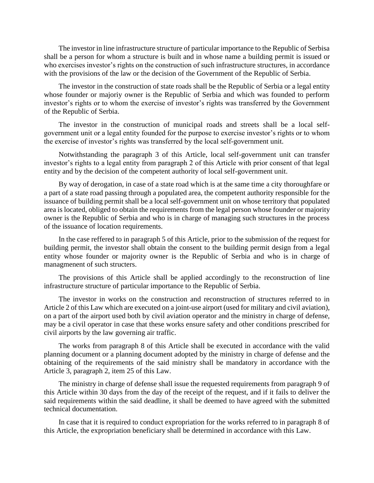The investor in line infrastructure structure of particular importance to the Republic of Serbisa shall be a person for whom a structure is built and in whose name a building permit is issued or who exercises investor's rights on the construction of such infrastructure structures, in accordance with the provisions of the law or the decision of the Government of the Republic of Serbia.

The investor in the construction of state roads shall be the Republic of Serbia or a legal entity whose founder or majoriy owner is the Republic of Serbia and which was founded to perform investor's rights or to whom the exercise of investor's rights was transferred by the Government of the Republic of Serbia.

The investor in the construction of municipal roads and streets shall be a local selfgovernment unit or a legal entity founded for the purpose to exercise investor's rights or to whom the exercise of investor's rights was transferred by the local self-government unit.

Notwithstanding the paragraph 3 of this Article, local self-government unit can transfer investor's rights to a legal entity from paragraph 2 of this Article with prior consent of that legal entity and by the decision of the competent authority of local self-government unit.

By way of derogation, in case of a state road which is at the same time a city thoroughfare or a part of a state road passing through a populated area, the competent authority responsible for the issuance of building permit shall be a local self-government unit on whose territory that populated area is located, obliged to obtain the requirements from the legal person whose founder or majority owner is the Republic of Serbia and who is in charge of managing such structures in the process of the issuance of location requirements.

In the case reffered to in paragraph 5 of this Article, prior to the submission of the request for building permit, the investor shall obtain the consent to the building permit design from a legal entity whose founder or majority owner is the Republic of Serbia and who is in charge of managmenent of such structers.

The provisions of this Article shall be applied accordingly to the reconstruction of line infrastructure structure of particular importance to the Republic of Serbia.

The investor in works on the construction and reconstruction of structures referred to in Article 2 of this Law which are executed on a joint-use airport (used for military and civil aviation), on a part of the airport used both by civil aviation operator and the ministry in charge of defense, may be a civil operator in case that these works ensure safety and other conditions prescribed for civil airports by the law governing air traffic.

The works from paragraph 8 of this Article shall be executed in accordance with the valid planning document or a planning document adopted by the ministry in charge of defense and the obtaining of the requirements of the said ministry shall be mandatory in accordance with the Article 3, paragraph 2, item 25 of this Law.

The ministry in charge of defense shall issue the requested requirements from paragraph 9 of this Article within 30 days from the day of the receipt of the request, and if it fails to deliver the said requirements within the said deadline, it shall be deemed to have agreed with the submitted technical documentation.

In case that it is required to conduct expropriation for the works referred to in paragraph 8 of this Article, the expropriation beneficiary shall be determined in accordance with this Law.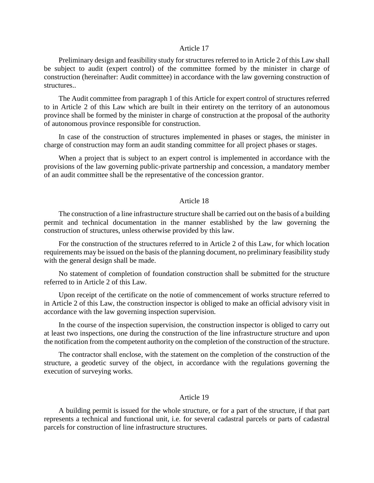### Article 17

Preliminary design and feasibility study for structures referred to in Article 2 of this Law shall be subject to audit (expert control) of the committee formed by the minister in charge of construction (hereinafter: Audit committee) in accordance with the law governing construction of structures..

The Audit committee from paragraph 1 of this Article for expert control of structures referred to in Article 2 of this Law which are built in their entirety on the territory of an autonomous province shall be formed by the minister in charge of construction at the proposal of the authority of autonomous province responsible for construction.

In case of the construction of structures implemented in phases or stages, the minister in charge of construction may form an audit standing committee for all project phases or stages.

When a project that is subject to an expert control is implemented in accordance with the provisions of the law governing public-private partnership and concession, a mandatory member of an audit committee shall be the representative of the concession grantor.

#### Article 18

The construction of a line infrastructure structure shall be carried out on the basis of a building permit and technical documentation in the manner established by the law governing the construction of structures, unless otherwise provided by this law.

For the construction of the structures referred to in Article 2 of this Law, for which location requirements may be issued on the basis of the planning document, no preliminary feasibility study with the general design shall be made.

No statement of completion of foundation construction shall be submitted for the structure referred to in Article 2 of this Law.

Upon receipt of the certificate on the notie of commencement of works structure referred to in Article 2 of this Law, the construction inspector is obliged to make an official advisory visit in accordance with the law governing inspection supervision.

In the course of the inspection supervision, the construction inspector is obliged to carry out at least two inspections, one during the construction of the line infrastructure structure and upon the notification from the competent authority on the completion of the construction of the structure.

The contractor shall enclose, with the statement on the completion of the construction of the structure, a geodetic survey of the object, in accordance with the regulations governing the execution of surveying works.

### Article 19

A building permit is issued for the whole structure, or for a part of the structure, if that part represents a technical and functional unit, i.e. for several cadastral parcels or parts of cadastral parcels for construction of line infrastructure structures.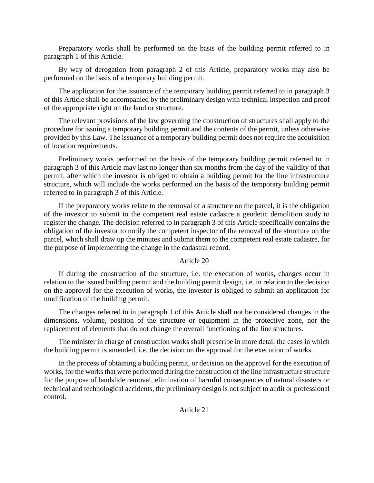Preparatory works shall be performed on the basis of the building permit referred to in paragraph 1 of this Article.

By way of derogation from paragraph 2 of this Article, preparatory works may also be performed on the basis of a temporary building permit.

The application for the issuance of the temporary building permit referred to in paragraph 3 of this Article shall be accompanied by the preliminary design with technical inspection and proof of the appropriate right on the land or structure.

The relevant provisions of the law governing the construction of structures shall apply to the procedure for issuing a temporary building permit and the contents of the permit, unless otherwise provided by this Law. The issuance of a temporary building permit does not require the acquisition of location requirements.

Preliminary works performed on the basis of the temporary building permit referred to in paragraph 3 of this Article may last no longer than six months from the day of the validity of that permit, after which the investor is obliged to obtain a building permit for the line infrastructure structure, which will include the works performed on the basis of the temporary building permit referred to in paragraph 3 of this Article.

If the preparatory works relate to the removal of a structure on the parcel, it is the obligation of the investor to submit to the competent real estate cadastre a geodetic demolition study to register the change. The decision referred to in paragraph 3 of this Article specifically contains the obligation of the investor to notify the competent inspector of the removal of the structure on the parcel, which shall draw up the minutes and submit them to the competent real estate cadastre, for the purpose of implementing the change in the cadastral record.

### Article 20

If during the construction of the structure, i.e. the execution of works, changes occur in relation to the issued building permit and the building permit design, i.e. in relation to the decision on the approval for the execution of works, the investor is obliged to submit an application for modification of the building permit.

The changes referred to in paragraph 1 of this Article shall not be considered changes in the dimensions, volume, position of the structure or equipment in the protective zone, nor the replacement of elements that do not change the overall functioning of the line structures.

The minister in charge of construction works shall prescribe in more detail the cases in which the building permit is amended, i.e. the decision on the approval for the execution of works.

In the process of obtaining a building permit, or decision on the approval for the execution of works, for the works that were performed during the construction of the line infrastructure structure for the purpose of landslide removal, elimination of harmful consequences of natural disasters or technical and technological accidents, the preliminary design is not subject to audit or professional control.

Article 21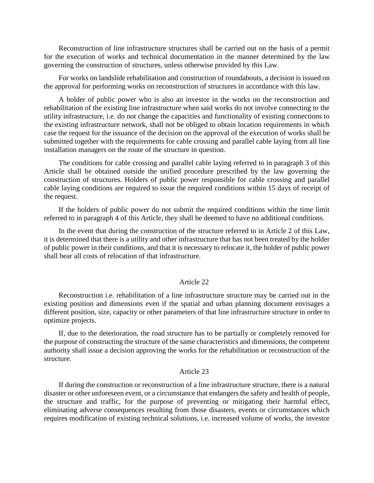Reconstruction of line infrastructure structures shall be carried out on the basis of a permit for the execution of works and technical documentation in the manner determined by the law governing the construction of structures, unless otherwise provided by this Law.

For works on landslide rehabilitation and construction of roundabouts, a decision is issued on the approval for performing works on reconstruction of structures in accordance with this law.

A holder of public power who is also an investor in the works on the reconstruction and rehabilitation of the existing line infrastructure when said works do not involve connecting to the utility infrastructure, i.e. do not change the capacities and functionality of existing connections to the existing infrastructure network, shall not be obliged to obtain location requirements in which case the request for the issuance of the decision on the approval of the execution of works shall be submitted together with the requirements for cable crossing and parallel cable laying from all line installation managers on the route of the structure in question.

The conditions for cable crossing and parallel cable laying referred to in paragraph 3 of this Article shall be obtained outside the unified procedure prescribed by the law governing the construction of structures. Holders of public power responsible for cable crossing and parallel cable laying conditions are required to issue the required conditions within 15 days of receipt of the request.

If the holders of public power do not submit the required conditions within the time limit referred to in paragraph 4 of this Article, they shall be deemed to have no additional conditions.

In the event that during the construction of the structure referred to in Article 2 of this Law, it is determined that there is a utility and other infrastructure that has not been treated by the holder of public power in their conditions, and that it is necessary to relocate it, the holder of public power shall bear all costs of relocation of that infrastructure.

#### Article 22

Reconstruction i.e. rehabilitation of a line infrastructure structure may be carried out in the existing position and dimensions even if the spatial and urban planning document envisages a different position, size, capacity or other parameters of that line infrastructure structure in order to optimize projects.

If, due to the deterioration, the road structure has to be partially or completely removed for the purpose of constructing the structure of the same characteristics and dimensions, the competent authority shall issue a decision approving the works for the rehabilitation or reconstruction of the structure.

#### Article 23

If during the construction or reconstruction of a line infrastructure structure, there is a natural disaster or other unforeseen event, or a circumstance that endangers the safety and health of people, the structure and traffic, for the purpose of preventing or mitigating their harmful effect, eliminating adverse consequences resulting from those disasters, events or circumstances which requires modification of existing technical solutions, i.e. increased volume of works, the investor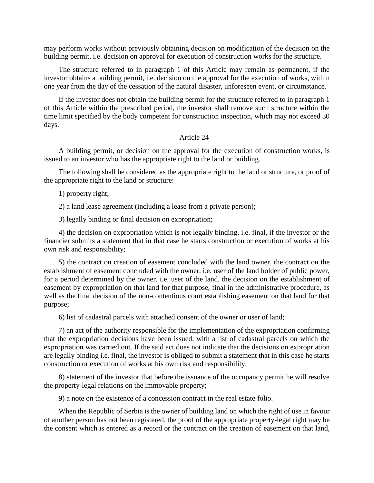may perform works without previously obtaining decision on modification of the decision on the building permit, i.e. decision on approval for execution of construction works for the structure.

The structure referred to in paragraph 1 of this Article may remain as permanent, if the investor obtains a building permit, i.e. decision on the approval for the execution of works, within one year from the day of the cessation of the natural disaster, unforeseen event, or circumstance.

If the investor does not obtain the building permit for the structure referred to in paragraph 1 of this Article within the prescribed period, the investor shall remove such structure within the time limit specified by the body competent for construction inspection, which may not exceed 30 days.

## Article 24

A building permit, or decision on the approval for the execution of construction works, is issued to an investor who has the appropriate right to the land or building.

The following shall be considered as the appropriate right to the land or structure, or proof of the appropriate right to the land or structure:

1) property right;

2) a land lease agreement (including a lease from a private person);

3) legally binding or final decision on expropriation;

4) the decision on expropriation which is not legally binding, i.e. final, if the investor or the financier submits a statement that in that case he starts construction or execution of works at his own risk and responsibility;

5) the contract on creation of easement concluded with the land owner, the contract on the establishment of easement concluded with the owner, i.e. user of the land holder of public power, for a period determined by the owner, i.e. user of the land, the decision on the establishment of easement by expropriation on that land for that purpose, final in the administrative procedure, as well as the final decision of the non-contentious court establishing easement on that land for that purpose;

6) list of cadastral parcels with attached consent of the owner or user of land;

7) an act of the authority responsible for the implementation of the expropriation confirming that the expropriation decisions have been issued, with a list of cadastral parcels on which the expropriation was carried out. If the said act does not indicate that the decisions on expropriation are legally binding i.e. final, the investor is obliged to submit a statement that in this case he starts construction or execution of works at his own risk and responsibility;

8) statement of the investor that before the issuance of the occupancy permit he will resolve the property-legal relations on the immovable property;

9) a note on the existence of a concession contract in the real estate folio.

When the Republic of Serbia is the owner of building land on which the right of use in favour of another person has not been registered, the proof of the appropriate property-legal right may be the consent which is entered as a record or the contract on the creation of easement on that land,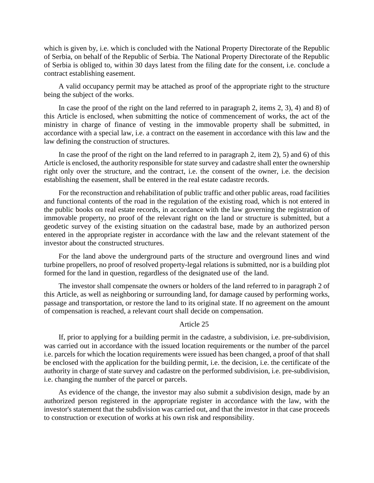which is given by, i.e. which is concluded with the National Property Directorate of the Republic of Serbia, on behalf of the Republic of Serbia. The National Property Directorate of the Republic of Serbia is obliged to, within 30 days latest from the filing date for the consent, i.e. conclude a contract establishing easement.

A valid occupancy permit may be attached as proof of the appropriate right to the structure being the subject of the works.

In case the proof of the right on the land referred to in paragraph 2, items 2, 3), 4) and 8) of this Article is enclosed, when submitting the notice of commencement of works, the act of the ministry in charge of finance of vesting in the immovable property shall be submitted, in accordance with a special law, i.e. a contract on the easement in accordance with this law and the law defining the construction of structures.

In case the proof of the right on the land referred to in paragraph 2, item 2), 5) and 6) of this Article is enclosed, the authority responsible for state survey and cadastre shall enter the ownership right only over the structure, and the contract, i.e. the consent of the owner, i.e. the decision establishing the easement, shall be entered in the real estate cadastre records.

For the reconstruction and rehabilitation of public traffic and other public areas, road facilities and functional contents of the road in the regulation of the existing road, which is not entered in the public books on real estate records, in accordance with the law governing the registration of immovable property, no proof of the relevant right on the land or structure is submitted, but a geodetic survey of the existing situation on the cadastral base, made by an authorized person entered in the appropriate register in accordance with the law and the relevant statement of the investor about the constructed structures.

For the land above the underground parts of the structure and overground lines and wind turbine propellers, no proof of resolved property-legal relations is submitted, nor is a building plot formed for the land in question, regardless of the designated use of the land.

The investor shall compensate the owners or holders of the land referred to in paragraph 2 of this Article, as well as neighboring or surrounding land, for damage caused by performing works, passage and transportation, or restore the land to its original state. If no agreement on the amount of compensation is reached, a relevant court shall decide on compensation.

#### Article 25

If, prior to applying for a building permit in the cadastre, a subdivision, i.e. pre-subdivision, was carried out in accordance with the issued location requirements or the number of the parcel i.e. parcels for which the location requirements were issued has been changed, a proof of that shall be enclosed with the application for the building permit, i.e. the decision, i.e. the certificate of the authority in charge of state survey and cadastre on the performed subdivision, i.e. pre-subdivision, i.e. changing the number of the parcel or parcels.

As evidence of the change, the investor may also submit a subdivision design, made by an authorized person registered in the appropriate register in accordance with the law, with the investor's statement that the subdivision was carried out, and that the investor in that case proceeds to construction or execution of works at his own risk and responsibility.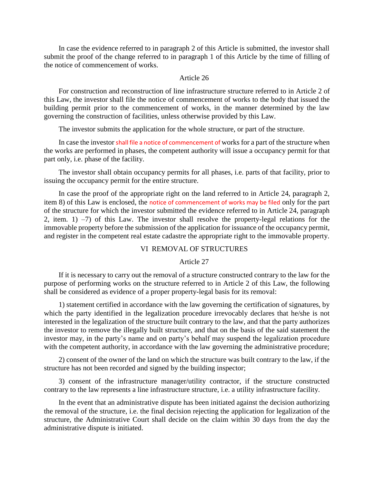In case the evidence referred to in paragraph 2 of this Article is submitted, the investor shall submit the proof of the change referred to in paragraph 1 of this Article by the time of filling of the notice of commencement of works.

### Article 26

For construction and reconstruction of line infrastructure structure referred to in Article 2 of this Law, the investor shall file the notice of commencement of works to the body that issued the building permit prior to the commencement of works, in the manner determined by the law governing the construction of facilities, unless otherwise provided by this Law.

The investor submits the application for the whole structure, or part of the structure.

In case the investor shall file a notice of commencement of works for a part of the structure when the works are performed in phases, the competent authority will issue a occupancy permit for that part only, i.e. phase of the facility.

The investor shall obtain occupancy permits for all phases, i.e. parts of that facility, prior to issuing the occupancy permit for the entire structure.

In case the proof of the appropriate right on the land referred to in Article 24, paragraph 2, item 8) of this Law is enclosed, the notice of commencement of works may be filed only for the part of the structure for which the investor submitted the evidence referred to in Article 24, paragraph 2, item. 1) –7) of this Law. The investor shall resolve the property-legal relations for the immovable property before the submission of the application for issuance of the occupancy permit, and register in the competent real estate cadastre the appropriate right to the immovable property.

## VI REMOVAL OF STRUCTURES

Article 27

If it is necessary to carry out the removal of a structure constructed contrary to the law for the purpose of performing works on the structure referred to in Article 2 of this Law, the following shall be considered as evidence of a proper property-legal basis for its removal:

1) statement certified in accordance with the law governing the certification of signatures, by which the party identified in the legalization procedure irrevocably declares that he/she is not interested in the legalization of the structure built contrary to the law, and that the party authorizes the investor to remove the illegally built structure, and that on the basis of the said statement the investor may, in the party's name and on party's behalf may suspend the legalization procedure with the competent authority, in accordance with the law governing the administrative procedure;

2) consent of the owner of the land on which the structure was built contrary to the law, if the structure has not been recorded and signed by the building inspector;

3) consent of the infrastructure manager/utility contractor, if the structure constructed contrary to the law represents a line infrastructure structure, i.e. a utility infrastructure facility.

In the event that an administrative dispute has been initiated against the decision authorizing the removal of the structure, i.e. the final decision rejecting the application for legalization of the structure, the Administrative Court shall decide on the claim within 30 days from the day the administrative dispute is initiated.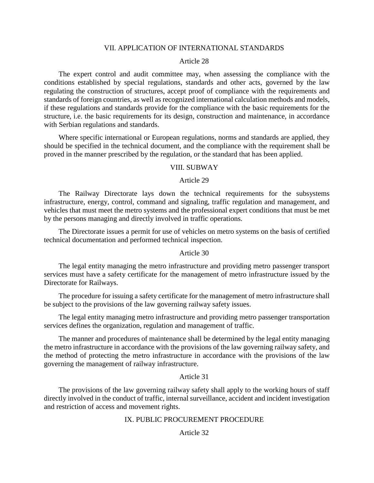### VII. APPLICATION OF INTERNATIONAL STANDARDS

#### Article 28

The expert control and audit committee may, when assessing the compliance with the conditions established by special regulations, standards and other acts, governed by the law regulating the construction of structures, accept proof of compliance with the requirements and standards of foreign countries, as well as recognized international calculation methods and models, if these regulations and standards provide for the compliance with the basic requirements for the structure, i.e. the basic requirements for its design, construction and maintenance, in accordance with Serbian regulations and standards.

Where specific international or European regulations, norms and standards are applied, they should be specified in the technical document, and the compliance with the requirement shall be proved in the manner prescribed by the regulation, or the standard that has been applied.

#### VIII. SUBWAY

#### Article 29

The Railway Directorate lays down the technical requirements for the subsystems infrastructure, energy, control, command and signaling, traffic regulation and management, and vehicles that must meet the metro systems and the professional expert conditions that must be met by the persons managing and directly involved in traffic operations.

The Directorate issues a permit for use of vehicles on metro systems on the basis of certified technical documentation and performed technical inspection.

#### Article 30

The legal entity managing the metro infrastructure and providing metro passenger transport services must have a safety certificate for the management of metro infrastructure issued by the Directorate for Railways.

The procedure for issuing a safety certificate for the management of metro infrastructure shall be subject to the provisions of the law governing railway safety issues.

The legal entity managing metro infrastructure and providing metro passenger transportation services defines the organization, regulation and management of traffic.

The manner and procedures of maintenance shall be determined by the legal entity managing the metro infrastructure in accordance with the provisions of the law governing railway safety, and the method of protecting the metro infrastructure in accordance with the provisions of the law governing the management of railway infrastructure.

## Article 31

The provisions of the law governing railway safety shall apply to the working hours of staff directly involved in the conduct of traffic, internal surveillance, accident and incident investigation and restriction of access and movement rights.

### IX. PUBLIC PROCUREMENT PROCEDURE

## Article 32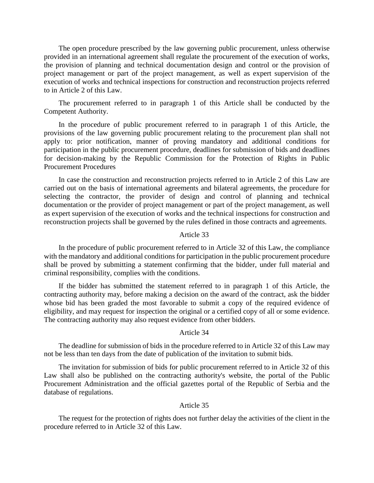The open procedure prescribed by the law governing public procurement, unless otherwise provided in an international agreement shall regulate the procurement of the execution of works, the provision of planning and technical documentation design and control or the provision of project management or part of the project management, as well as expert supervision of the execution of works and technical inspections for construction and reconstruction projects referred to in Article 2 of this Law.

The procurement referred to in paragraph 1 of this Article shall be conducted by the Competent Authority.

In the procedure of public procurement referred to in paragraph 1 of this Article, the provisions of the law governing public procurement relating to the procurement plan shall not apply to: prior notification, manner of proving mandatory and additional conditions for participation in the public procurement procedure, deadlines for submission of bids and deadlines for decision-making by the Republic Commission for the Protection of Rights in Public Procurement Procedures

In case the construction and reconstruction projects referred to in Article 2 of this Law are carried out on the basis of international agreements and bilateral agreements, the procedure for selecting the contractor, the provider of design and control of planning and technical documentation or the provider of project management or part of the project management, as well as expert supervision of the execution of works and the technical inspections for construction and reconstruction projects shall be governed by the rules defined in those contracts and agreements.

#### Article 33

In the procedure of public procurement referred to in Article 32 of this Law, the compliance with the mandatory and additional conditions for participation in the public procurement procedure shall be proved by submitting a statement confirming that the bidder, under full material and criminal responsibility, complies with the conditions.

If the bidder has submitted the statement referred to in paragraph 1 of this Article, the contracting authority may, before making a decision on the award of the contract, ask the bidder whose bid has been graded the most favorable to submit a copy of the required evidence of eligibility, and may request for inspection the original or a certified copy of all or some evidence. The contracting authority may also request evidence from other bidders.

## Article 34

The deadline for submission of bids in the procedure referred to in Article 32 of this Law may not be less than ten days from the date of publication of the invitation to submit bids.

The invitation for submission of bids for public procurement referred to in Article 32 of this Law shall also be published on the contracting authority's website, the portal of the Public Procurement Administration and the official gazettes portal of the Republic of Serbia and the database of regulations.

### Article 35

The request for the protection of rights does not further delay the activities of the client in the procedure referred to in Article 32 of this Law.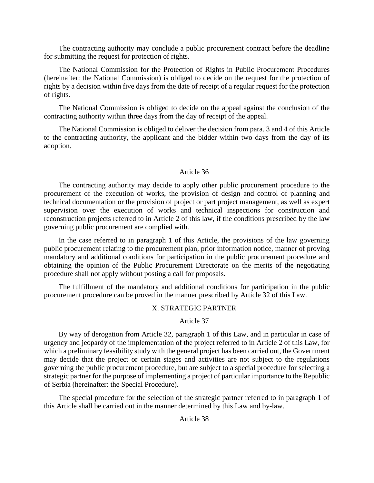The contracting authority may conclude a public procurement contract before the deadline for submitting the request for protection of rights.

The National Commission for the Protection of Rights in Public Procurement Procedures (hereinafter: the National Commission) is obliged to decide on the request for the protection of rights by a decision within five days from the date of receipt of a regular request for the protection of rights.

The National Commission is obliged to decide on the appeal against the conclusion of the contracting authority within three days from the day of receipt of the appeal.

The National Commission is obliged to deliver the decision from para. 3 and 4 of this Article to the contracting authority, the applicant and the bidder within two days from the day of its adoption.

## Article 36

The contracting authority may decide to apply other public procurement procedure to the procurement of the execution of works, the provision of design and control of planning and technical documentation or the provision of project or part project management, as well as expert supervision over the execution of works and technical inspections for construction and reconstruction projects referred to in Article 2 of this law, if the conditions prescribed by the law governing public procurement are complied with.

In the case referred to in paragraph 1 of this Article, the provisions of the law governing public procurement relating to the procurement plan, prior information notice, manner of proving mandatory and additional conditions for participation in the public procurement procedure and obtaining the opinion of the Public Procurement Directorate on the merits of the negotiating procedure shall not apply without posting a call for proposals.

The fulfillment of the mandatory and additional conditions for participation in the public procurement procedure can be proved in the manner prescribed by Article 32 of this Law.

### X. STRATEGIC PARTNER

Article 37

By way of derogation from Article 32, paragraph 1 of this Law, and in particular in case of urgency and jeopardy of the implementation of the project referred to in Article 2 of this Law, for which a preliminary feasibility study with the general project has been carried out, the Government may decide that the project or certain stages and activities are not subject to the regulations governing the public procurement procedure, but are subject to a special procedure for selecting a strategic partner for the purpose of implementing a project of particular importance to the Republic of Serbia (hereinafter: the Special Procedure).

The special procedure for the selection of the strategic partner referred to in paragraph 1 of this Article shall be carried out in the manner determined by this Law and by-law.

## Article 38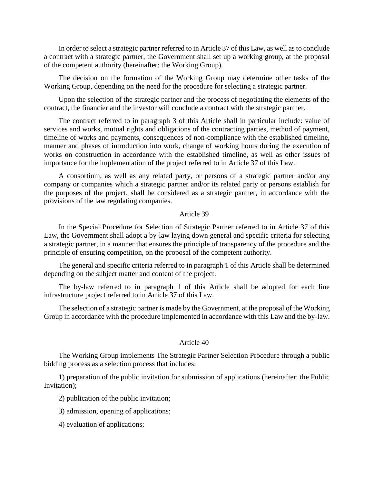In order to select a strategic partner referred to in Article 37 of this Law, as well as to conclude a contract with a strategic partner, the Government shall set up a working group, at the proposal of the competent authority (hereinafter: the Working Group).

The decision on the formation of the Working Group may determine other tasks of the Working Group, depending on the need for the procedure for selecting a strategic partner.

Upon the selection of the strategic partner and the process of negotiating the elements of the contract, the financier and the investor will conclude a contract with the strategic partner.

The contract referred to in paragraph 3 of this Article shall in particular include: value of services and works, mutual rights and obligations of the contracting parties, method of payment, timeline of works and payments, consequences of non-compliance with the established timeline, manner and phases of introduction into work, change of working hours during the execution of works on construction in accordance with the established timeline, as well as other issues of importance for the implementation of the project referred to in Article 37 of this Law.

A consortium, as well as any related party, or persons of a strategic partner and/or any company or companies which a strategic partner and/or its related party or persons establish for the purposes of the project, shall be considered as a strategic partner, in accordance with the provisions of the law regulating companies.

#### Article 39

In the Special Procedure for Selection of Strategic Partner referred to in Article 37 of this Law, the Government shall adopt a by-law laying down general and specific criteria for selecting a strategic partner, in a manner that ensures the principle of transparency of the procedure and the principle of ensuring competition, on the proposal of the competent authority.

The general and specific criteria referred to in paragraph 1 of this Article shall be determined depending on the subject matter and content of the project.

The by-law referred to in paragraph 1 of this Article shall be adopted for each line infrastructure project referred to in Article 37 of this Law.

The selection of a strategic partner is made by the Government, at the proposal of the Working Group in accordance with the procedure implemented in accordance with this Law and the by-law.

### Article 40

The Working Group implements The Strategic Partner Selection Procedure through a public bidding process as a selection process that includes:

1) preparation of the public invitation for submission of applications (hereinafter: the Public Invitation);

2) publication of the public invitation;

- 3) admission, opening of applications;
- 4) evaluation of applications;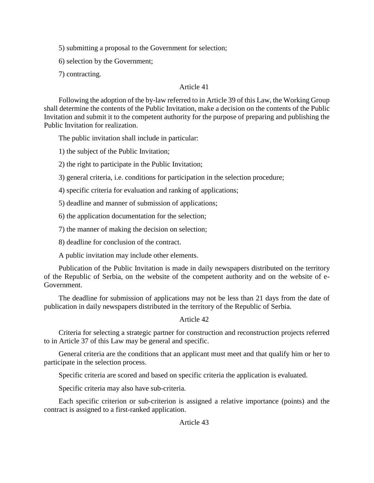5) submitting a proposal to the Government for selection;

6) selection by the Government;

7) contracting.

# Article 41

Following the adoption of the by-law referred to in Article 39 of this Law, the Working Group shall determine the contents of the Public Invitation, make a decision on the contents of the Public Invitation and submit it to the competent authority for the purpose of preparing and publishing the Public Invitation for realization.

The public invitation shall include in particular:

1) the subject of the Public Invitation;

2) the right to participate in the Public Invitation;

3) general criteria, i.e. conditions for participation in the selection procedure;

4) specific criteria for evaluation and ranking of applications;

5) deadline and manner of submission of applications;

6) the application documentation for the selection;

7) the manner of making the decision on selection;

8) deadline for conclusion of the contract.

A public invitation may include other elements.

Publication of the Public Invitation is made in daily newspapers distributed on the territory of the Republic of Serbia, on the website of the competent authority and on the website of e-Government.

The deadline for submission of applications may not be less than 21 days from the date of publication in daily newspapers distributed in the territory of the Republic of Serbia.

# Article 42

Criteria for selecting a strategic partner for construction and reconstruction projects referred to in Article 37 of this Law may be general and specific.

General criteria are the conditions that an applicant must meet and that qualify him or her to participate in the selection process.

Specific criteria are scored and based on specific criteria the application is evaluated.

Specific criteria may also have sub-criteria.

Each specific criterion or sub-criterion is assigned a relative importance (points) and the contract is assigned to a first-ranked application.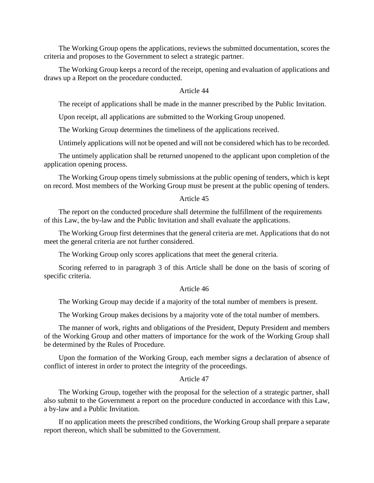The Working Group opens the applications, reviews the submitted documentation, scores the criteria and proposes to the Government to select a strategic partner.

The Working Group keeps a record of the receipt, opening and evaluation of applications and draws up a Report on the procedure conducted.

## Article 44

The receipt of applications shall be made in the manner prescribed by the Public Invitation.

Upon receipt, all applications are submitted to the Working Group unopened.

The Working Group determines the timeliness of the applications received.

Untimely applications will not be opened and will not be considered which has to be recorded.

The untimely application shall be returned unopened to the applicant upon completion of the application opening process.

The Working Group opens timely submissions at the public opening of tenders, which is kept on record. Most members of the Working Group must be present at the public opening of tenders.

### Article 45

The report on the conducted procedure shall determine the fulfillment of the requirements of this Law, the by-law and the Public Invitation and shall evaluate the applications.

The Working Group first determines that the general criteria are met. Applications that do not meet the general criteria are not further considered.

The Working Group only scores applications that meet the general criteria.

Scoring referred to in paragraph 3 of this Article shall be done on the basis of scoring of specific criteria.

## Article 46

The Working Group may decide if a majority of the total number of members is present.

The Working Group makes decisions by a majority vote of the total number of members.

The manner of work, rights and obligations of the President, Deputy President and members of the Working Group and other matters of importance for the work of the Working Group shall be determined by the Rules of Procedure.

Upon the formation of the Working Group, each member signs a declaration of absence of conflict of interest in order to protect the integrity of the proceedings.

### Article 47

The Working Group, together with the proposal for the selection of a strategic partner, shall also submit to the Government a report on the procedure conducted in accordance with this Law, a by-law and a Public Invitation.

If no application meets the prescribed conditions, the Working Group shall prepare a separate report thereon, which shall be submitted to the Government.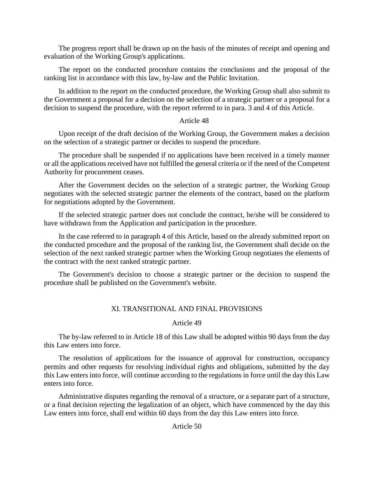The progress report shall be drawn up on the basis of the minutes of receipt and opening and evaluation of the Working Group's applications.

The report on the conducted procedure contains the conclusions and the proposal of the ranking list in accordance with this law, by-law and the Public Invitation.

In addition to the report on the conducted procedure, the Working Group shall also submit to the Government a proposal for a decision on the selection of a strategic partner or a proposal for a decision to suspend the procedure, with the report referred to in para. 3 and 4 of this Article.

## Article 48

Upon receipt of the draft decision of the Working Group, the Government makes a decision on the selection of a strategic partner or decides to suspend the procedure.

The procedure shall be suspended if no applications have been received in a timely manner or all the applications received have not fulfilled the general criteria or if the need of the Competent Authority for procurement ceases.

After the Government decides on the selection of a strategic partner, the Working Group negotiates with the selected strategic partner the elements of the contract, based on the platform for negotiations adopted by the Government.

If the selected strategic partner does not conclude the contract, he/she will be considered to have withdrawn from the Application and participation in the procedure.

In the case referred to in paragraph 4 of this Article, based on the already submitted report on the conducted procedure and the proposal of the ranking list, the Government shall decide on the selection of the next ranked strategic partner when the Working Group negotiates the elements of the contract with the next ranked strategic partner.

The Government's decision to choose a strategic partner or the decision to suspend the procedure shall be published on the Government's website.

## XI. TRANSITIONAL AND FINAL PROVISIONS

## Article 49

The by-law referred to in Article 18 of this Law shall be adopted within 90 days from the day this Law enters into force.

The resolution of applications for the issuance of approval for construction, occupancy permits and other requests for resolving individual rights and obligations, submitted by the day this Law enters into force, will continue according to the regulations in force until the day this Law enters into force.

Administrative disputes regarding the removal of a structure, or a separate part of a structure, or a final decision rejecting the legalization of an object, which have commenced by the day this Law enters into force, shall end within 60 days from the day this Law enters into force.